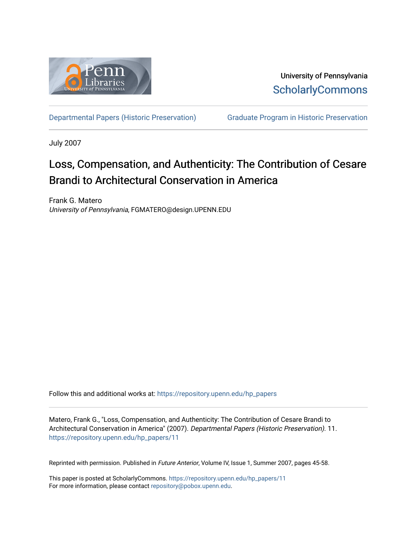

University of Pennsylvania **ScholarlyCommons** 

[Departmental Papers \(Historic Preservation\)](https://repository.upenn.edu/hp_papers) [Graduate Program in Historic Preservation](https://repository.upenn.edu/hist_pres) 

July 2007

## Loss, Compensation, and Authenticity: The Contribution of Cesare Brandi to Architectural Conservation in America

Frank G. Matero University of Pennsylvania, FGMATERO@design.UPENN.EDU

Follow this and additional works at: [https://repository.upenn.edu/hp\\_papers](https://repository.upenn.edu/hp_papers?utm_source=repository.upenn.edu%2Fhp_papers%2F11&utm_medium=PDF&utm_campaign=PDFCoverPages) 

Matero, Frank G., "Loss, Compensation, and Authenticity: The Contribution of Cesare Brandi to Architectural Conservation in America" (2007). Departmental Papers (Historic Preservation). 11. [https://repository.upenn.edu/hp\\_papers/11](https://repository.upenn.edu/hp_papers/11?utm_source=repository.upenn.edu%2Fhp_papers%2F11&utm_medium=PDF&utm_campaign=PDFCoverPages)

Reprinted with permission. Published in Future Anterior, Volume IV, Issue 1, Summer 2007, pages 45-58.

This paper is posted at ScholarlyCommons. [https://repository.upenn.edu/hp\\_papers/11](https://repository.upenn.edu/hp_papers/11) For more information, please contact [repository@pobox.upenn.edu.](mailto:repository@pobox.upenn.edu)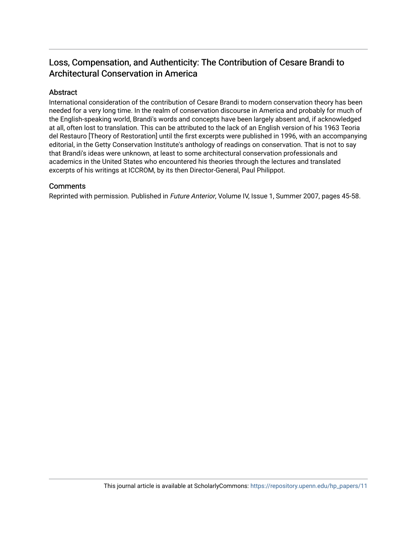## Loss, Compensation, and Authenticity: The Contribution of Cesare Brandi to Architectural Conservation in America

### Abstract

International consideration of the contribution of Cesare Brandi to modern conservation theory has been needed for a very long time. In the realm of conservation discourse in America and probably for much of the English-speaking world, Brandi's words and concepts have been largely absent and, if acknowledged at all, often lost to translation. This can be attributed to the lack of an English version of his 1963 Teoria del Restauro [Theory of Restoration] until the first excerpts were published in 1996, with an accompanying editorial, in the Getty Conservation Institute's anthology of readings on conservation. That is not to say that Brandi's ideas were unknown, at least to some architectural conservation professionals and academics in the United States who encountered his theories through the lectures and translated excerpts of his writings at ICCROM, by its then Director-General, Paul Philippot.

#### **Comments**

Reprinted with permission. Published in Future Anterior, Volume IV, Issue 1, Summer 2007, pages 45-58.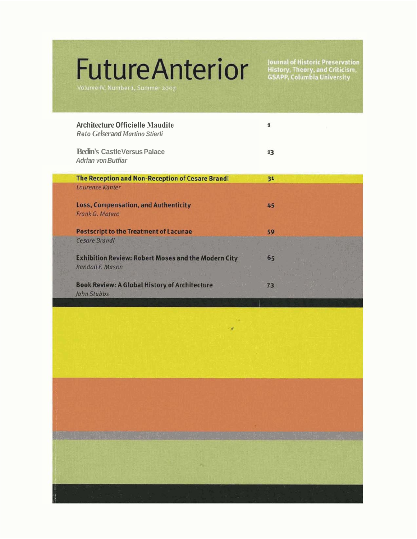# **FutureAnterior**

Volume IV, Number 1, Summer 2007

Journal of Historic Preservation<br>History, Theory, and Criticism,<br>GSAPP, Columbia University

| <b>Architecture Officielle Maudite</b><br><b>Reto Gelser and Martino Stierli</b> |    |  |
|----------------------------------------------------------------------------------|----|--|
| <b>Bedin's CastleVersus Palace</b><br><b>Adrlan von Butfiar</b>                  | 13 |  |
| The Reception and Non-Reception of Cesare Brandi                                 | 31 |  |
| Laurence Kanter                                                                  |    |  |
| <b>Loss, Compensation, and Authenticity</b>                                      | 45 |  |
| Frank G. Matero                                                                  |    |  |
| <b>Postscript to the Treatment of Lacunae</b>                                    | 59 |  |
| Cesare Brandi                                                                    |    |  |
| <b>Exhibition Review: Robert Moses and the Modern City</b>                       | 65 |  |
| Randall F. Mason                                                                 |    |  |
| <b>Book Review: A Global History of Architecture</b>                             | 73 |  |
| John Stubbs                                                                      |    |  |

 $\tau_{\rm R}$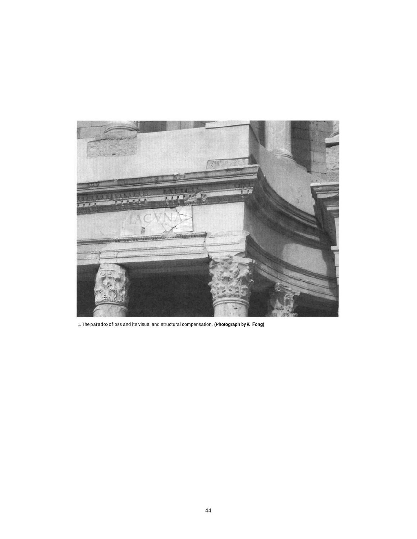

**1.**The paradoxof loss and its visual and structural compensation. **(Photograph by K. Fong)**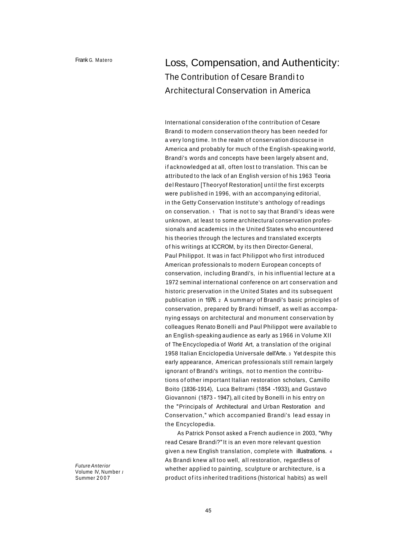## Loss, Compensation, and Authenticity: The Contribution of Cesare Brandi to Architectural Conservation in America

International consideration of the contribution of Cesare Brandi to modern conservation theory has been needed for a very long time. In the realm of conservation discourse in America and probably for much of the English-speaking world, Brandi's words and concepts have been largely absent and, if acknowledged at all, often lost to translation. This can be attributed to the lack of an English version of his 1963 Teoria del Restauro [Theoryof Restoration] until the first excerpts were published in 1996, with an accompanying editorial, in the Getty Conservation Institute's anthology of readings on conservation. 1 That is not to say that Brandi's ideas were unknown, at least to some architectural conservation professionals and academics in the United States who encountered his theories through the lectures and translated excerpts of his writings at ICCROM, by its then Director-General, Paul Philippot. It was in fact Philippot who first introduced American professionals to modern European concepts of conservation, including Brandi's, in his influential lecture at a 1972 seminal international conference on art conservation and historic preservation in the United States and its subsequent publication in 1976. <sup>2</sup> A summary of Brandi's basic principles of conservation, prepared by Brandi himself, as well as accompanying essays on architectural and monument conservation by colleagues Renato Bonelli and Paul Philippot were available to an English-speaking audience as early as 1966 in Volume XII of The Encyclopedia of World Art, a translation of the original 1958 Italian Enciclopedia Universale dell'Arte. 3 Yet despite this early appearance, American professionals still remain largely ignorant of Brandi's writings, not to mention the contributions of other important Italian restoration scholars, Camillo Boito (1836-1914), Luca Beltrami (1854 -1933), and Gustavo Giovannoni (1873 - 1947), all cited by Bonelli in his entry on the "Principals of Architectural and Urban Restoration and Conservation," which accompanied Brandi's lead essay in the Encyclopedia.

As Patrick Ponsot asked a French audience in 2003, "Why read Cesare Brandi?"It is an even more relevant question given a new English translation, complete with illustrations. <sup>4</sup> As Brandi knew all too well, all restoration, regardless of whether applied to painting, sculpture or architecture, is a product of its inherited traditions (historical habits) as well

*Future Anterior* Volume IV, Number *<sup>1</sup>* Summer 2007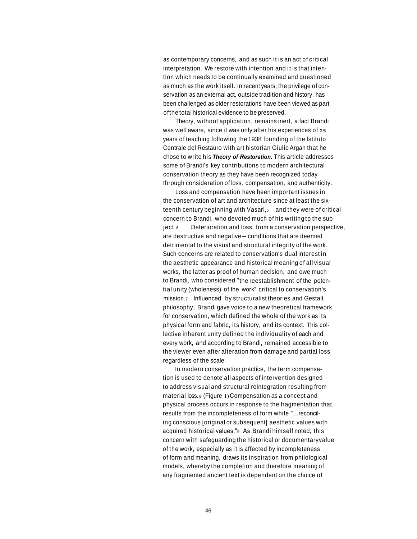as contemporary concerns, and as such it is an act of critical interpretation. We restore with intention and it is that intention which needs to be continually examined and questioned as much as the work itself. In recent years, the privilege of conservation as an external act, outside tradition and history, has been challenged as older restorations have been viewed as part ofthe total historical evidence to be preserved.

Theory, without application, remains inert, a fact Brandi was well aware, since it was only after his experiences of **25** years of teaching following the 1938 founding of the lstituto Centrale del Restauro with art historian Giulio Argan that he chose to write his *Theory of Restoration.* This article addresses some of Brandi's key contributions to modern architectural conservation theory as they have been recognized today through consideration of loss, compensation, and authenticity.

Loss and compensation have been important issues in the conservation of art and architecture since at least the sixteenth century beginning with Vasari, and they were of critical concern to Brandi, who devoted much of his writing to the subject.<sub>6</sub> Deterioration and loss, from a conservation perspective, are destructive and negative-conditions that are deemed detrimental to the visual and structural integrity of the work. Such concerns are related to conservation's dual interest in the aesthetic appearance and historical meaning of all visual works, the latter as proof of human decision, and owe much to Brandi, who considered "the reestablishment of the potential unity (wholeness) of the work" critical to conservation's mission.7 lnfluenced by structuralist theories and Gestalt philosophy, Brandi gave voice to a new theoretical framework for conservation, which defined the whole of the work as its physical form and fabric, its history, and its context. This collective inherent unity defined the individuality of each and every work, and according to Brandi, remained accessible to the viewer even after alteration from damage and partial loss regardless of the scale.

In modern conservation practice, the term compensation is used to denote all aspects of intervention designed to address visual and structural reintegration resulting from material loss. <sup>8</sup> (Figure 1)Compensation as a concept and physical process occurs in response to the fragmentation that results from the incompleteness of form while "...reconciling conscious [original or subsequent] aesthetic values with acquired historical values."9 As Brandi himself noted, this concern with safeguarding the historical or documentaryvalue of the work, especially as it is affected by incompleteness of form and meaning, draws its inspiration from philological models, whereby the completion and therefore meaningof any fragmented ancient text is dependent on the choice of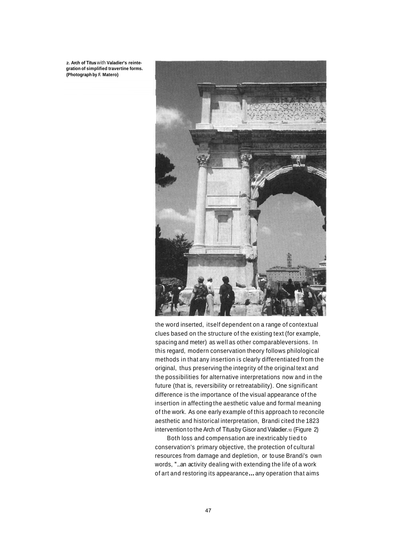**2. Arch of Titus** with **Valadier's reintegration of simplified travertine forms. (Photograph by F. Matero)**



the word inserted, itself dependent on a range of contextual clues based on the structure of the existing text (for example, spacing and meter) as well as other comparableversions. In this regard, modern conservation theory follows philological methods in that any insertion is clearly differentiated from the original, thus preserving the integrity of the original text and the possibilities for alternative interpretations now and in the future (that is, reversibility or retreatability). One significant difference is the importance of the visual appearance of the insertion in affecting the aesthetic value and formal meaning of the work. As one early example of this approach to reconcile aesthetic and historical interpretation, Brandi cited the 1823 intervention to the Arch of Titus by Gisor and Valadier.10 (Figure 2)

Both loss and compensation are inextricably tiedto conservation's primary objective, the protection of cultural resources from damage and depletion, or to use Brandi's own words, "...an activity dealing with extending the life of a work of art and restoring its appearance...any operation that aims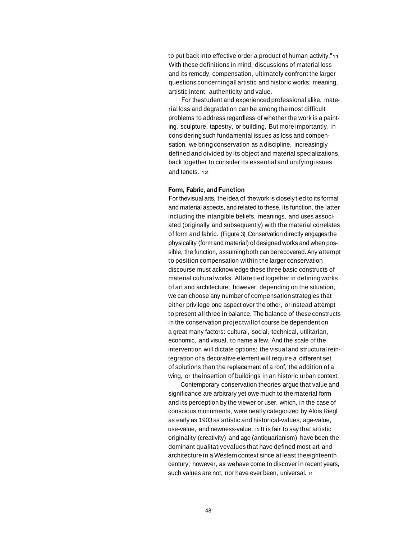to put back into effective order a product of human activity."11 With these definitions in mind, discussions of material loss and its remedy, compensation, ultimately confront the larger questions concerningall artistic and historic works: meaning, artistic intent, authenticity and value.

For the student and experienced professional alike, material loss and degradation can be among the most difficult problems to address regardless of whether the work is a painting. sculpture, tapestry, or building. But more importantly, in consideringsuch fundamental issues as loss and compensation, we bring conservation as a discipline, increasingly defined and divided by its object and material specializations, back together to consider its essential and unifying issues and tenets. 12

#### **Form, Fabric, and Function**

For the visual arts, the idea of the work is closely tied to its formal and material aspects, and related to these, its function, the latter including the intangible beliefs, meanings, and uses associated (originally and subsequently) with the material correlates of form and fabric. (Figure 3) Conservation directly engages the physicality (form and material) of designed works and when possible, the function, assuming both can be recovered. Any attempt to position compensation within the larger conservation discourse must acknowledge these three basic constructs of material cultural works. All are tied together in defining works of art and architecture; however, depending on the situation, we can choose any number of compensation strategies that either privilege one aspect over the other, orinstead attempt to present all three in balance. The balance of these constructs in the conservation projectwillof course be dependent on a great many factors: cultural, social, technical, utilitarian, economic, and visual, to name a few. And the scale of the intervention will dictate options: the visual and structural reintegration ofa decorative element will require a different set of solutions than the replacement of a roof, the addition of a wing, or the insertion of buildings in an historic urban context.

Contemporary conservation theories argue that value and significance are arbitrary yet owe much to the material form and its perception by the viewer or user, which, in the case of conscious monuments, were neatly categorized by Alois Riegl as early as 1903 as artistic and historical-values, age-value, use-value, and newness-value. <sup>13</sup> It is fair to say that artistic originality (creativity) and age (antiquarianism) have been the dominant qualitativevalues that have defined most art and architecturein a Western context since at least theeighteenth century; however, as we have come to discover in recent years, such values are not, nor have ever been, universal. <sup>14</sup>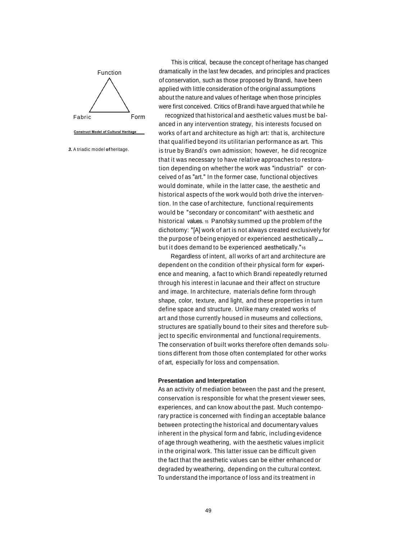

This is critical, because the concept of heritage has changed Function dramatically in the last few decades, and principles and practices of conservation, such as those proposed by Brandi, have been applied with little consideration of the original assumptions about the nature and values of heritage when those principles were first conceived. Critics of Brandi have argued that while he

Fabric **Form** recognized that historical and aesthetic values must be balanced in any intervention strategy, his interests focused on **Construct Model of Cultural Heritage** works of art and architecture as high art: that is, architecture that qualified beyond its utilitarian performance as art. This **3.** A triadic model of heritage. is true by Brandi's own admission; however, he did recognize that it was necessary to have relative approaches to restoration depending on whether the work was "industrial" or conceived of as "art." In the former case, functional objectives would dominate, while in the latter case, the aesthetic and historical aspects of the work would both drive the intervention. In the case of architecture, functional requirements would be "secondary or concomitant" with aesthetic and historical values. 15 Panofsky summed up the problem of the dichotomy: "[A] work of art is not always created exclusively for the purpose of being enjoyed or experienced aesthetically... but it does demand to be experienced aesthetically."16

> Regardless of intent, all works of art and architecture are dependent on the condition of their physical form for experience and meaning, a fact to which Brandi repeatedly returned through his interest in lacunae and their affect on structure and image. In architecture, materials define form through shape, color, texture, and light, and these properties in turn define space and structure. Unlike many created works of art and those currently housed in museums and collections, structures are spatially bound to their sites and therefore subject to specific environmental and functional requirements. The conservation of built works therefore often demands solutions different from those often contemplated for other works of art, especially for loss and compensation.

#### **Presentation and Interpretation**

As an activity of mediation between the past and the present, conservation is responsible for what the present viewer sees, experiences, and can know about the past. Much contemporary practice is concerned with finding an acceptable balance between protectingthe historical and documentary values inherent in the physical form and fabric, including evidence of age through weathering, with the aesthetic values implicit in the original work. This latter issue can be difficult given the fact that the aesthetic values can be either enhanced or degraded by weathering, depending on the cultural context. To understand the importance of loss and its treatment in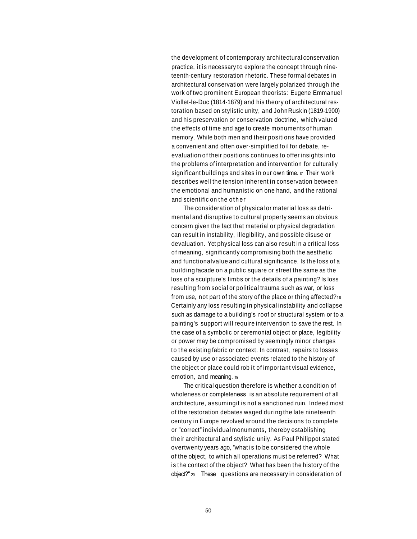the development of contemporary architectural conservation practice, it is necessary to explore the concept through nineteenth-century restoration rhetoric. These formal debates in architectural conservation were largely polarized through the work of two prominent European theorists: Eugene Emmanuel Viollet-le-Duc (1814-1879) and his theory of architectural restoration based on stylistic unity, and JohnRuskin (1819-1900) and his preservation or conservation doctrine, which valued the effects of time and age to create monumentsof human memory. While both men and their positions have provided a convenient and often over-simplified foil for debate, reevaluation of their positions continues to offer insights into the problems of interpretation and intervention for culturally significant buildings and sites in our own time. In Their work describes well the tension inherent in conservation between the emotional and humanistic on one hand, and the rational and scientific on the other

The consideration of physical or material loss as detrimental and disruptive to cultural property seems an obvious concern given the fact that material or physical degradation can result in instability, illegibility, and possible disuse or devaluation. Yet physical loss can also result in a critical loss of meaning, significantly compromising both the aesthetic and functionalvalue and cultural significance. Is the loss of a building facade on a public square or street the same as the loss of a sculpture's limbs or the details of a painting?Is loss resulting from social or political trauma such as war, or loss from use, not part of the story of the place or thing affected?<sup>18</sup> Certainly any loss resulting in physical instability and collapse such as damage to a building's roof or structural system or to a painting's support will require intervention to save the rest. In the case of a symbolic or ceremonial object or place, legibility or power may be compromised by seemingly minor changes to the existing fabric or context. In contrast, repairs to losses caused by use or associated events related to the history of the object or place could rob it of important visual evidence, emotion, and meaning. 19

The critical question therefore is whether a condition of wholeness or completeness is an absolute requirement of all architecture, assumingit is not a sanctioned ruin. Indeed most of the restoration debates waged duringthe late nineteenth century in Europe revolved around the decisions to complete or "correct" individual monuments, thereby establishing their architectural and stylistic uniiy. As Paul Philippot stated overtwenty years ago, "what is to be considered the whole of the object, to which all operations must be referred? What is the context of the object? What has been the history of the object?" 20 These questions are necessary in consideration of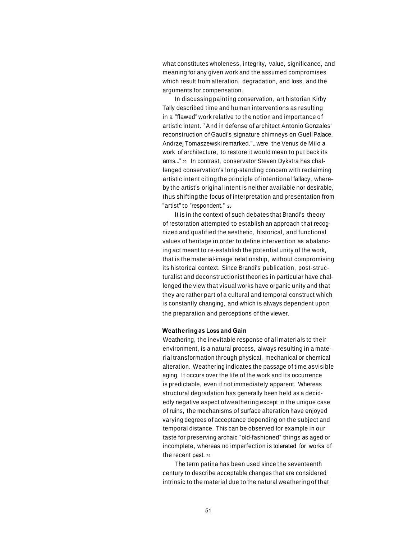what constitutes wholeness, integrity, value, significance, and meaning for any given work and the assumed compromises which result from alteration, degradation, and loss, and the arguments for compensation.

In discussing painting conservation, art historian Kirby Tally described time and human interventions as resulting in a "flawed" work relative to the notion and importance of artistic intent. "And in defense of architect Antonio Gonzales' reconstruction of Gaudi's signature chimneys on GuellPalace, Andrzej Tomaszewski remarked."...were the Venus de Milo a work of architecture, to restore it would mean to put back its arms..." <sup>22</sup> In contrast, conservator Steven Dykstra has challenged conservation's long-standing concern with reclaiming artistic intent citing the principle of intentional fallacy, whereby the artist's original intent is neither available nor desirable, thus shifting the focus of interpretation and presentation from "artist" to "respondent." 23

It is in the context of such debates that Brandi's theory of restoration attempted to establish an approach that recognized and qualified the aesthetic, historical, and functional values of heritage in order to define intervention as a balancing act meant to re-establish the potential unity of the work, that is the material-image relationship, without compromising its historical context. Since Brandi's publication, post-structuralist and deconstructionist theories in particular have challenged the view that visual works have organic unity and that they are rather part ofa cultural and temporal construct which is constantly changing, and which is always dependent upon the preparation and perceptions of the viewer.

#### **Weatheringas Loss and Gain**

Weathering, the inevitable response of all materials to their environment, is a natural process, always resulting in a material transformation through physical, mechanical or chemical alteration. Weathering indicates the passage of time asvisible aging. It occurs over the life of the work and its occurrence is predictable, even if not immediately apparent. Whereas structural degradation has generally been held as a decidedly negative aspect ofweathering except in the unique case of ruins, the mechanisms of surface alteration have enjoyed varying degrees of acceptance depending on the subject and temporal distance. This can be observed for example in our taste for preserving archaic "old-fashioned" things as aged or incomplete, whereas no imperfection is tolerated for works of the recent past. <sup>24</sup>

The term patina has been used since the seventeenth century to describe acceptable changes that are considered intrinsic to the material due to the natural weathering of that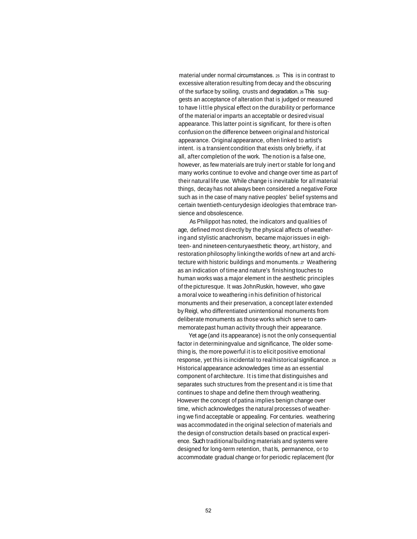material under normal circumstances. 25 This is in contrast to excessive alteration resulting from decay and the obscuring of the surface by soiling, crusts and degradation. 26 This suggests an acceptance of alteration that is judged or measured to have little physical effect on the durability or performance of the material or imparts an acceptable or desired visual appearance. This latter point is significant, for there is often confusionon the difference between originaland historical appearance. Original appearance, often linked to artist's intent. is a transient condition that exists only briefly, if at all, after completion of the work. The notion is a false one, however, as few materials are truly inert or stable for long and many works continue to evolve and change over time as part of their natural life use. While change is inevitable for all material things, decay has not always been considered a negative Force such as in the case of many native peoples' belief systems and certain twentieth-centurydesign ideologies that embrace transience and obsolescence.

As Philippot has noted, the indicators and qualities of age, defined most directly by the physical affects of weatheringand stylistic anachronism, became majorissues in eighteen- and nineteen-centuryaesthetic theory, art history, and restoration philosophy linking the worlds of new art and architecture with historic buildings and monuments. 27 Weathering as an indication of time and nature's finishing touches to human works was a major element in the aesthetic principles of the picturesque. It was JohnRuskin, however, who gave a moral voice to weathering in his definition of historical monuments and their preservation, a concept later extended by Reigl, who differentiated unintentional monuments from deliberate monuments as those works which serve to cammemoratepast human activity through their appearance.

Yet age (and its appearance) is not the only consequential factor in determiningvalue and significance, The older something is, the more powerful it is to elicit positive emotional response, yet this is incidental to real historical significance. <sup>28</sup> Historical appearance acknowledges time as an essential component of architecture. It is time that distinguishes and separates such structures from the present and it is time that continues to shape and define them through weathering. However the concept of patina implies benign change over time, which acknowledges the natural processes of weathering we find acceptable or appealing. For centuries. weathering was accommodated in the original selection of materials and the design of construction details based on practical experience. Such traditional building materials and systems were designed for long-term retention, that Is, permanence, or to accommodate gradual change or for periodic replacement (for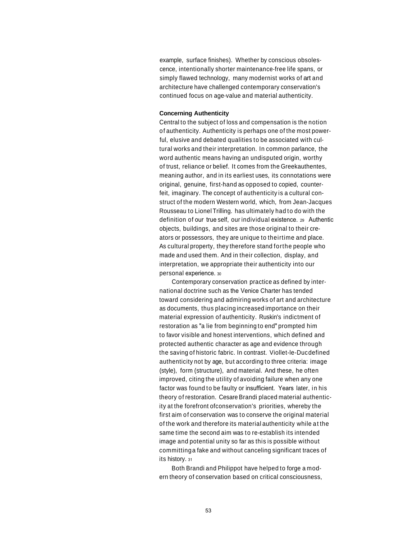example, surface finishes). Whether by conscious obsolescence, intentionally shorter maintenance-free life spans, or simply flawed technology, many modernist works of art and architecture have challenged contemporary conservation's continued focus on age-value and material authenticity.

#### **Concerning Authenticity**

Central to the subject of loss and compensation is the notion of authenticity. Authenticity is perhaps one of the most powerful, elusive and debated qualities to be associated with cultural works and their interpretation. In common parlance, the word authentic means having an undisputed origin, worthy of trust, reliance or belief. It comes from the Greekauthentes, meaning author, and in its earliest uses, its connotations were original, genuine, first-hand as opposed to copied, counterfeit, imaginary. The concept of authenticity is a cultural construct of the modern Western world, which, from Jean-Jacques Rousseau to Lionel Trilling. has ultimately had to do with the definition of our true self, our individual existence. 29 Authentic objects, buildings, and sites are those original to their creators or possessors, they are unique to theirtime and place. As cultural property, they therefore stand forthe people who made and used them. And in their collection, display, and interpretation, we appropriate their authenticity into our personal experience. <sup>30</sup>

Contemporary conservation practice as defined by international doctrine such as the Venice Charter has tended toward considering and admiring works of art and architecture as documents, thus placing increased importance on their material expression of authenticity. Ruskin's indictment of restoration as "a lie from beginning to end" prompted him to favor visible and honest interventions, which defined and protected authentic character as age and evidence through the saving of historic fabric. In contrast. Viollet-le-Ducdefined authenticity not by age, but according to three criteria: image (style), form (structure), and material. And these, he often improved, citing the utility of avoiding failure when any one factor was found to be faulty or insufficient. Years later, in his theory of restoration. Cesare Brandi placed material authenticity at the forefront ofconservation's priorities, whereby the first aim of conservation was to conserve the original material of the work and therefore its material authenticity while at the same time the second aim was to re-establish its intended image and potential unity so far as this is possible without committinga fake and without canceling significant traces of its history. 31

Both Brandi and Philippot have helped to forge a modern theory of conservation based on critical consciousness,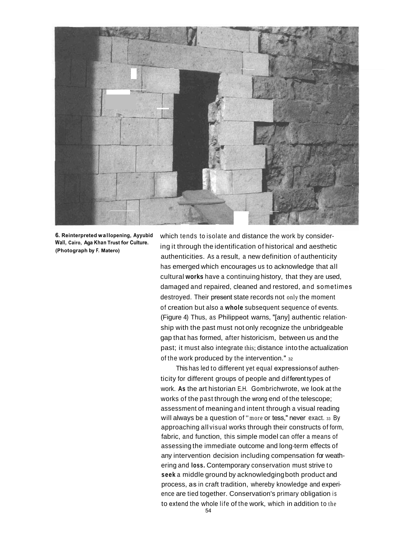

**6. Reinterpreted wallopening, Ayyubid Wall, Cairo, Aga Khan Trust for Culture. (Photograph by F. Matero)**

which tends to isolate and distance the work by considering it through the identification of historical and aesthetic authenticities. As a result, a new definition of authenticity has emerged which encourages us to acknowledge that all cultural **works** have a continuing history, that they are used, damaged and repaired, cleaned and restored, and sometimes destroyed. Their present state records not only the moment of creation but also a **whole** subsequent sequence of events. (Figure 4) Thus, as Philippeot warns, "[any] authentic relationship with the past must not only recognize the unbridgeable gap that has formed, after historicism, between us and the past; it must also integrate this; distance into the actualization of the work produced by the intervention." 32

This has led to different yet equal expressionsof authenticity for different groups of people and different types of work. **As** the art historian E.H. Gombrichwrote, we look at the works of the past through the wrong end of the telescope; assessment of meaning and intent through a visual reading will always be a question of "more or tess," never exact. 33 By approaching all visual works through their constructs of form, fabric, and function, this simple model can offer a means of assessing the immediate outcome and long-term effects of any intervention decision including compensation for weathering and **loss.** Contemporary conservation must strive to **seek** a middle ground by acknowledgingboth product and process, as in craft tradition, whereby knowledge and experience are tied together. Conservation's primary obligation is to extend the whole life of the work, which in addition to the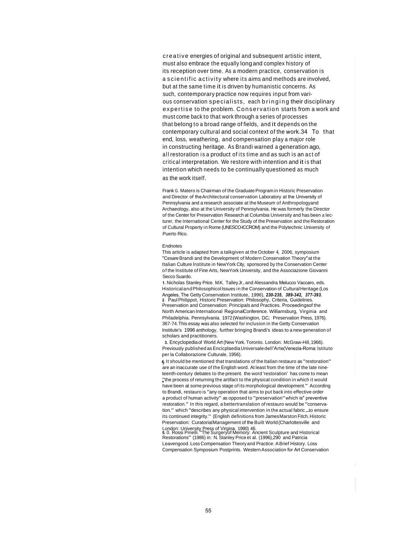creative energies of original and subsequent artistic intent, must also embrace the equally long and complex history of its reception over time. As a modern practice, conservation is a scientific activity where its aims and methods are involved, but at the same time it is driven by humanistic concerns. As such, contemporary practice now requires input from various conservation specialists, each bringing their disciplinary expertise to the problem. Conservation starts from a work and must come back to that work through a series of processes that belong to a broad range of fields, and it depends on the contemporary cultural and social context of the work.34 To t hat end, loss, weathering, and compensation play a major role in constructing heritage. As Brandi warned a generation ago, all restoration is a product of its time and as such is an act of critical interpretation. We restore with intention and it is that intention which needs to be continually questioned as much as the work itself.

Frank G. Matero is Chairman of the Graduate Program in Historic Preservation and Director of the Architectural conservation Laboratory at the University of Pennsylvania and a research associate at the Museum of Anthropologyand Archaeology, also at the University of Pennsylvania. He was formerly the Director of the Center for Preservation Research at Columbia University and has been a lecturer, the International Center for the Study of the Preservation and the Restoration of Cultural Property in Rome (UNESCO-ICCROM) and the Polytechnic University of Puerto Rico.

#### Endnotes

This article is adapted from a talkgiven at the October 4, 2006, symposium "CesareBrandi and the Development of Modern Conservation Theory"at the Italian Culture lnstitute in NewYork City, sponsored by the Conservation Center of the lnstitute of Fine Arts, NewYork University, and the Associazione Giovanni Secco Suardo.

**1.** Nicholas Stanley Price. M.K. TalleyJr., and Alessandra Melucco Vaccaro, eds. HistoricalandPhilosophicol Issues in the Conservation of Cultural Heritage (Los Angeles, The Getty Conservation Institute, 1996), *230-235, 389-342, 377-393.* **2**. PaulPhilippot, Historic Preservation: Philosophy, Criteria, Guidelines. Preservation and Conservation: Principals and Practices. Proceedingsof the North American International RegionalConference. Williamsburg, Virginia and Philadelphia. Pennsylvania. 1972(Washington, D.C.: Preservation Press, 1976). 367-74. This essay was also selected for inclusion in the Getty Conservation Institute's 1996 anthology, further bringing Brandi's ideas to a new generation of scholars and practitioners.

**3.** Encyclopediaof World Art (New York. Toronto. London: McGraw-Hill, 1966). Previously published asEncicplaedia Universale dell'Arte(Venezia-Roma: lstituto per la Collaborazione Culturale, 1956).

**4.** It should be mentioned that translations of the Italian restauro as "restoration" are an inaccurate use of the English word. At least from the time of the late nineteenth-century debates to the present. the word 'restoration' has come to mean "the process of returning the artifact to the physical condition in which it would have been at some previous stage of its morphological development." According to Brandi, restauro is "any operation that aims to put back into effective order a product of human activity" as opposed to "preservation"which is" preventive restoration." In this regard, a bettertranslation of restauro would be "conservation." which "describes any physical intervention in the actual fabric...to ensure its continued integrity." (English definitions from James Marston Fitch. Historic Preservation: CuratorialManagement of the Built World (Charlottesville and

London: University Press of Virgina. 1990) 46. **5.** 0. Rossi Pinelli."The Surgeryof Memory: Ancient Sculpture and Historical Restorations" (1986) in: N. Stanley Price et al. (1996),290 and Patricia Leavengood. Loss Compensation Theory and Practice: A Brief History. Loss Compensation Symposium Postprints. Western Association for Art Conservation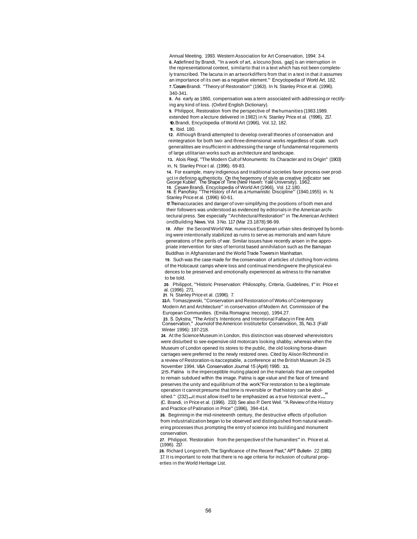Annual Meeting. 1993. Western Association for Art Conservation, 1994: 3-4. **6.** Asdefined by Brandi, "In a work of art, a locuno [loss, gap] is an interruption in the representational context, similarto that in a text which has not been completely transcribed. The lacuna in an artworkdiffers from that in a text in that it assumes an importance of its own as a negative element." Encyclopedia of World Art, 182. **7 .** 'Cesare Brandi. "Theory of Restoration"(1963). In N. Stanley Price et al. (1996). 340-341.

**8.** As early as 1860, compensation was a term associated with addressing or rectifying any kind of loss. (Oxford English Dictionary).

**9.** Philippot, Restoration from the perspective of the humanities (1983.1989. extended from a lecture delivered in 1982) in N. Stanley Price et al. (1996), 217. **10** .Brandi, Encyclopedia of World Art (1966), Vol. 12, 182.

**11**. Ibid. 180.

**12.** Although Brandi attempted to develop overall theories of conservation and reintegration for both two- and three-dimensional works regardless of scale. such generalities are insufficient in addressing the range of fundamental requirements of large utilitarian works such as architecture and landscape.

**13.** Alois Riegl, "The Modern Cult of Monuments: Its Character and its Origin" (1903) in, N. Stanley Price t al. (1996). 69-83.

**14.** For example, many indigenous and traditional societies favor process over product in defining authenticity. On the hegemony of style as creative indicator see George Kubler. The Shape of Time (New Haven: Yale University). 1962.

**15**. Cesare Brandi. Encyclopedia of World Art (1966). Vol. 12.180. **<sup>16</sup>**. E Panofsky."The History of Art as a Humanistic Discipline" (1940,1955) in. N. Stanley Price et al. (1996) 60-61.

**17.** The inaccuracies and danger of over-simplifying the positions of both men and their followers was understood as evidenced by editorials in the American architectural press. See especially "Architectural Restoration" in The American Architect ondBuilding News. Vol. 3 No. 117 (Mar 23.1878):98-99.

**18**. After the SecondWorld War, numerousEuropean urban sites destroyed by bombing were intentionally stabilized as ruins to serve as memorials and warn future generations of the perils of war. Similar issues have recently arisen in the appropriate intervention for sites of terrorist based annihilation such as the Bamayan Buddhas in Afghanistan and the World Trade Towers in Manhattan.

**19**. Such was the case made for the conservation of articles of clothing from victims of the Holocaust camps where loss and continual mendingwere the physical evidences to be preserved and emotionally experienced as witness to the narrative to be told.

20. Philippot, "Historic Preservation: Philosophy, Criteria, Guidelines, I" in: Price et al. (1996). 271.

**21**. N. Stanley Price et al. (1996). 7.

**2 2.**A. Tomaszjewski,"Conservation and Restoration of Works of Contemporary Modern Art and Architecture" in conservation of Modern Art. Commission of the European Communities. (Emilia Romagna: Irecoop), 1994.27.

**<sup>23</sup>**. S. <sup>D</sup>ykstra."The Artist's Intentions and Intentional Fallacyin Fine Arts Conservation," Journol of the Americon Institute for Conservotion, 35, No.3 (Fall/ Winter 1996): 197-218.

**24.** At the ScienceMuseum in London, this distinction was observed wherevisitors were disturbed to see expensive old motorcars looking shabby, whereas when the Museum of London opened its stores to the public, the old looking horse-drawn carriages were preferred to the newly restored ones. Cited by Alison Richmond in a review of Restoration-is itacceptable, a conference at the British Museum 24-25 November 1994. V&A Conservation Journal 15 (April) 1995: 11.

25.Patina is the imperceptible muting placed on the materials that are compelled to remain subdued within the image. Patina is age value and the face of time and preserves the unity and equilibrium of the work."For restoration to be a legitimate operation it cannot presume that time is reversible or that history can be abolished." (232)...it must allow itself to be emphasized as a true historical event... (C. Brandi, in Price et al. (1996). 233) See also P. Dent Weil. "A Review of the History and Practice of Patination in Price" (1996), 394-414.

**26.** Beginning in the mid-nineteenth century, the destructive effects of pollution from industrialization began to be observed and distinguished from natural weathering processes thus prompting the entry of science into building and monument conservation.

**27.** Philippot. 'Restoration from the perspectiveof the humanities" in. Price et al.  $(1996)$ . 217.

**28.** Richard Longstreth,The Significance of the Recent Past," APT Bulletin 22 (1991): 17.It is important to note that there is no age criteria for inclusion of cultural properties in the World Heritage List.